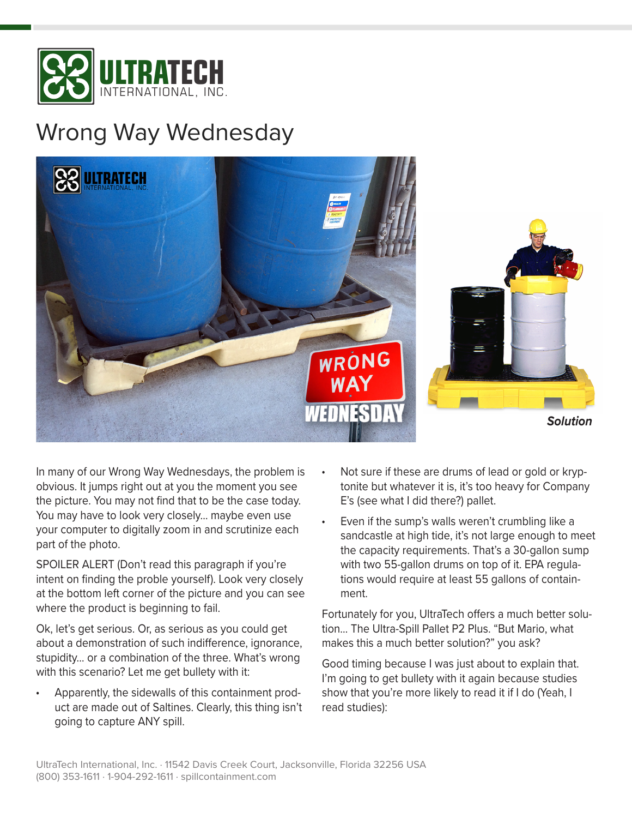

## Wrong Way Wednesday



In many of our Wrong Way Wednesdays, the problem is obvious. It jumps right out at you the moment you see the picture. You may not find that to be the case today. You may have to look very closely… maybe even use your computer to digitally zoom in and scrutinize each part of the photo.

SPOILER ALERT (Don't read this paragraph if you're intent on finding the proble yourself). Look very closely at the bottom left corner of the picture and you can see where the product is beginning to fail.

Ok, let's get serious. Or, as serious as you could get about a demonstration of such indifference, ignorance, stupidity… or a combination of the three. What's wrong with this scenario? Let me get bullety with it:

• Apparently, the sidewalls of this containment product are made out of Saltines. Clearly, this thing isn't going to capture ANY spill.

- Not sure if these are drums of lead or gold or kryptonite but whatever it is, it's too heavy for Company E's (see what I did there?) pallet.
- Even if the sump's walls weren't crumbling like a sandcastle at high tide, it's not large enough to meet the capacity requirements. That's a 30-gallon sump with two 55-gallon drums on top of it. EPA regulations would require at least 55 gallons of containment.

Fortunately for you, UltraTech offers a much better solution… The Ultra-Spill Pallet P2 Plus. "But Mario, what makes this a much better solution?" you ask?

Good timing because I was just about to explain that. I'm going to get bullety with it again because studies show that you're more likely to read it if I do (Yeah, I read studies):